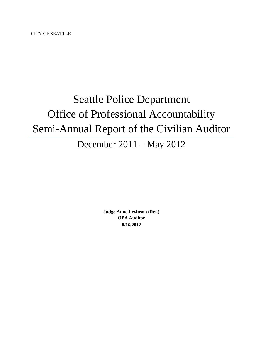CITY OF SEATTLE

# Seattle Police Department Office of Professional Accountability Semi-Annual Report of the Civilian Auditor

# December 2011 – May 2012

**Judge Anne Levinson (Ret.) OPA Auditor 8/16/2012**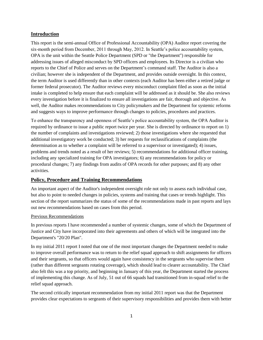### **Introduction**

This report is the semi-annual Office of Professional Accountability (OPA) Auditor report covering the six-month period from December, 2011 through May, 2012. In Seattle's police accountability system, OPA is the unit within the Seattle Police Department (SPD or "the Department") responsible for addressing issues of alleged misconduct by SPD officers and employees. Its Director is a civilian who reports to the Chief of Police and serves on the Department's command staff. The Auditor is also a civilian; however she is independent of the Department, and provides outside oversight. In this context, the term Auditor is used differently than in other contexts (each Auditor has been either a retired judge or former federal prosecutor). The Auditor reviews every misconduct complaint filed as soon as the initial intake is completed to help ensure that each complaint will be addressed as it should be. She also reviews every investigation before it is finalized to ensure all investigations are fair, thorough and objective. As well, the Auditor makes recommendations to City policymakers and the Department for systemic reforms and suggests ways to improve performance through changes to policies, procedures and practices.

To enhance the transparency and openness of Seattle's police accountability system, the OPA Auditor is required by ordinance to issue a public report twice per year. She is directed by ordinance to report on 1) the number of complaints and investigations reviewed; 2) those investigations where she requested that additional investigatory work be conducted; 3) her requests for reclassifications of complaints (the determination as to whether a complaint will be referred to a supervisor or investigated); 4) issues, problems and trends noted as a result of her reviews; 5) recommendations for additional officer training, including any specialized training for OPA investigators; 6) any recommendations for policy or procedural changes; 7) any findings from audits of OPA records for other purposes; and 8) any other activities.

#### **Policy, Procedure and Training Recommendations**

An important aspect of the Auditor's independent oversight role not only to assess each individual case, but also to point to needed changes in policies, systems and training that cases or trends highlight. This section of the report summarizes the status of some of the recommendations made in past reports and lays out new recommendations based on cases from this period.

#### Previous Recommendations

In previous reports I have recommended a number of systemic changes, some of which the Department of Justice and City have incorporated into their agreements and others of which will be integrated into the Department's "20/20 Plan".

In my initial 2011 report I noted that one of the most important changes the Department needed to make to improve overall performance was to return to the relief squad approach to shift assignments for officers and their sergeants, so that officers would again have consistency in the sergeants who supervise them (rather than different sergeants rotating coverage), which should lead to clearer accountability. The Chief also felt this was a top priority, and beginning in January of this year, the Department started the process of implementing this change. As of July, 51 out of 66 squads had transitioned from in-squad relief to the relief squad approach.

The second critically important recommendation from my initial 2011 report was that the Department provides clear expectations to sergeants of their supervisory responsibilities and provides them with better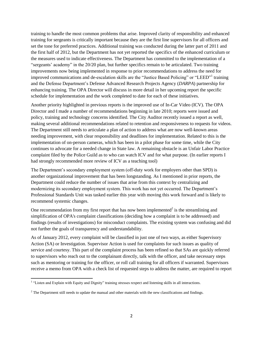training to handle the most common problems that arise. Improved clarity of responsibility and enhanced training for sergeants is critically important because they are the first line supervisors for all officers and set the tone for preferred practices. Additional training was conducted during the latter part of 2011 and the first half of 2012, but the Department has not yet reported the specifics of the enhanced curriculum or the measures used to indicate effectiveness. The Department has committed to the implementation of a "sergeants' academy" in the 20/20 plan, but further specifics remain to be articulated. Two training improvements now being implemented in response to prior recommendations to address the need for improved communications and de-escalation skills are the "Justice Based Policing" or "LEED"<sup>1</sup> training and the Defense Department's Defense Advanced Research Projects Agency (*DARPA*) partnership for enhancing training. The OPA Director will discuss in more detail in her upcoming report the specific schedule for implementation and the work completed to date for each of these initiatives.

Another priority highlighted in previous reports is the improved use of In-Car Video (ICV). The OPA Director and I made a number of recommendations beginning in late 2010; reports were issued and policy, training and technology concerns identified. The City Auditor recently issued a report as well, making several additional recommendations related to retention and responsiveness to requests for videos. The Department still needs to articulate a plan of action to address what are now well-known areas needing improvement, with clear responsibility and deadlines for implementation. Related to this is the implementation of on-person cameras, which has been in a pilot phase for some time, while the City continues to advocate for a needed change in State law. A remaining obstacle is an Unfair Labor Practice complaint filed by the Police Guild as to who can watch ICV and for what purpose. (In earlier reports I had strongly recommended more review of ICV as a teaching tool)

The Department's secondary employment system (off-duty work for employers other than SPD) is another organizational improvement that has been longstanding. As I mentioned in prior reports, the Department could reduce the number of issues that arise from this context by centralizing and modernizing its secondary employment system. This work has not yet occurred. The Department's Professional Standards Unit was tasked earlier this year with moving this work forward and is likely to recommend systemic changes.

One recommendation from my first report that has now been implemented $\alpha^2$  is the streamlining and simplification of OPA's complaint classifications (deciding how a complaint is to be addressed) and findings (results of investigations) for misconduct complaints. The existing system was confusing and did not further the goals of transparency and understandability.

As of January 2012, every complaint will be classified in just one of two ways, as either Supervisory Action (SA) or Investigation. Supervisor Action is used for complaints for such issues as quality of service and courtesy. This part of the complaint process has been refined so that SAs are quickly referred to supervisors who reach out to the complainant directly, talk with the officer, and take necessary steps such as mentoring or training for the officer, or roll call training for all officers if warranted. Supervisors receive a memo from OPA with a check list of requested steps to address the matter, are required to report

<sup>&</sup>lt;sup>1</sup> "Listen and Explain with Equity and Dignity" training stresses respect and listening skills in all interactions.

 $<sup>2</sup>$  The Department still needs to update the manual and other materials with the new classifications and findings.</sup>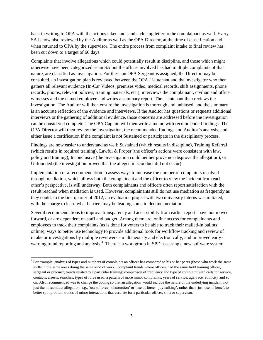back in writing to OPA with the actions taken and send a closing letter to the complainant as well. Every SA is now also reviewed by the Auditor as well as the OPA Director, at the time of classification and when returned to OPA by the supervisor. The entire process from complaint intake to final review has been cut down to a target of 60 days.

Complaints that involve allegations which could potentially result in discipline, and those which might otherwise have been categorized as an SA but the officer involved has had multiple complaints of that nature, are classified as Investigation. For these an OPA Sergeant is assigned, the Director may be consulted, an investigation plan is reviewed between the OPA Lieutenant and the investigator who then gathers all relevant evidence (In-Car Videos, premises video, medical records, shift assignments, phone records, photos, relevant policies, training materials, etc.), interviews the complainant, civilian and officer witnesses and the named employee and writes a summary report. The Lieutenant then reviews the investigation. The Auditor will then ensure the investigation is thorough and unbiased, and the summary is an accurate reflection of the evidence and interviews. If the Auditor has questions or requests additional interviews or the gathering of additional evidence, those concerns are addressed before the investigation can be considered complete. The OPA Captain will then write a memo with recommended findings. The OPA Director will then review the investigation, the recommended findings and Auditor's analysis, and either issue a certification if the complaint is not Sustained or participate in the disciplinary process.

Findings are now easier to understand as well: Sustained (which results in discipline), Training Referral (which results in required training), Lawful & Proper (the officer's actions were consistent with law, policy and training), Inconclusive (the investigation could neither prove nor disprove the allegation), or Unfounded (the investigation proved that the alleged misconduct did not occur).

Implementation of a recommendation to assess ways to increase the number of complaints resolved through mediation, which allows both the complainant and the officer to view the incident from each other's perspective, is still underway. Both complainants and officers often report satisfaction with the result reached when mediation is used. However, complainants still do not use mediation as frequently as they could. In the first quarter of 2012, an evaluation project with two university interns was initiated, with the charge to learn what barriers may be leading some to decline mediation.

Several recommendations to improve transparency and accessibility from earlier reports have not moved forward, or are dependent on staff and budget. Among them are: online access for complainants and employees to track their complaints (as is done for voters to be able to track their mailed-in ballots online); ways to better use technology to provide additional tools for workflow tracking and review of intake or investigations by multiple reviewers simultaneously and electronically; and improved earlywarning trend reporting and analysis.<sup>3</sup> There is a workgroup in SPD assessing a new software system.

l

<sup>&</sup>lt;sup>3</sup> For example, analysis of types and numbers of complaints an officer has compared to his or her peers (those who work the same shifts in the same areas doing the same kind of work); complaint trends where officers had the same field training officer, sergeant or precinct; trends related to a particular training; comparison of frequency and type of complaint with calls for service, contacts, arrests, searches; types of force used; a pattern of more minor complaints; years of service, age, race, ethnicity and so on. Also recommended was to change the coding so that an allegation would include the nature of the underlying incident, not just the misconduct allegation, e.g., 'use of force –obstruction' or 'use of force – jaywalking', rather than 'just use of force', to better spot problem trends of minor interactions that escalate for a particular officer, shift or supervisor.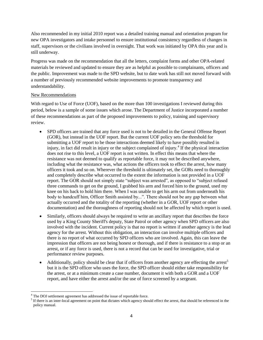Also recommended in my initial 2010 report was a detailed training manual and orientation program for new OPA investigators and intake personnel to ensure institutional consistency regardless of changes in staff, supervisors or the civilians involved in oversight. That work was initiated by OPA this year and is still underway.

Progress was made on the recommendation that all the letters, complaint forms and other OPA-related materials be reviewed and updated to ensure they are as helpful as possible to complainants, officers and the public. Improvement was made to the SPD website, but to date work has still not moved forward with a number of previously recommended website improvements to promote transparency and understandability.

#### New Recommendations

With regard to Use of Force (UOF), based on the more than 100 investigations I reviewed during this period, below is a sample of some issues which arose. The Department of Justice incorporated a number of these recommendations as part of the proposed improvements to policy, training and supervisory review.

- SPD officers are trained that any force used is not to be detailed in the General Offense Report (GOR), but instead in the UOF report. But the current UOF policy sets the threshold for submitting a UOF report to be those interactions deemed likely to have possibly resulted in injury, in fact did result in injury or the subject complained of injury.<sup>4</sup> If the physical interaction does not rise to this level, a UOF report is not written. In effect this means that where the resistance was not deemed to qualify as reportable force, it may not be described anywhere, including what the resistance was, what actions the officers took to effect the arrest, how many officers it took and so on. Wherever the threshold is ultimately set, the GORs need to thoroughly and completely describe what occurred to the extent the information is not provided in a UOF report. The GOR should not simply state "subject was arrested", as opposed to "subject refused three commands to get on the ground, I grabbed his arm and forced him to the ground, used my knee on his back to hold him there. When I was unable to get his arm out from underneath his body to handcuff him, Officer Smith assisted by...". There should not be any gap between what actually occurred and the totality of the reporting (whether in a GOR, UOF report or other documentation) and the thoroughness of reporting should not be affected by which report is used.
- Similarly, officers should always be required to write an ancillary report that describes the force used by a King County Sheriff's deputy, State Patrol or other agency when SPD officers are also involved with the incident. Current policy is that no report is written if another agency is the lead agency for the arrest. Without this obligation, an interaction can involve multiple officers and there is no report of what occurred by SPD officers who are involved. Again, this can leave the impression that officers are not being honest or thorough, and if there is resistance to a stop or an arrest, or if any force is used, there is not a record that can be used for investigative, trial or performance review purposes.
- Additionally, policy should be clear that if officers from another agency are effecting the arrest<sup>5</sup> but it is the SPD officer who uses the force, the SPD officer should either take responsibility for the arrest, or at a minimum create a case number, document it with both a GOR and a UOF report, and have either the arrest and/or the use of force screened by a sergeant.

 $\overline{a}$ <sup>4</sup> The DOJ settlement agreement has addressed the issue of reportable force.

 $<sup>5</sup>$  If there is an inter-local agreement on point that dictates which agency should effect the arrest, that should be referenced in the</sup> policy manual.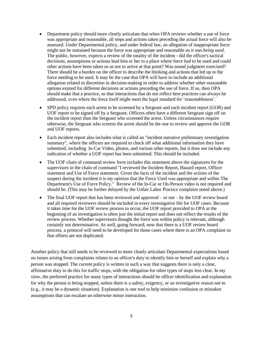- Department policy should more clearly articulate that when OPA reviews whether a use of force was appropriate and reasonable, all steps and actions taken preceding the actual force will also be assessed. Under Departmental policy, and under federal law, an allegation of inappropriate force might not be sustained because the force was appropriate and reasonable *as it was being used*. The public, however, expects a review of the totality of the incident - did the officer's tactical decisions, assumptions or actions lead him or her to a place where force had to be used and could other actions have been taken so as not to arrive at that point? Was sound judgment exercised? There should be a burden on the officer to describe the thinking and actions that led up to the force needing to be used. It may be the case that OPA will have to include an additional allegation related to discretion in decision-making in order to address whether other reasonable options existed for different decisions or actions preceding the use of force. If so, then OPA should make that a practice, so that interactions that do not reflect best practices can always be addressed, even where the force itself might meet the legal standard for 'reasonableness'.
- SPD policy requires each arrest to be screened by a Sergeant and each incident report (GOR) and UOF report to be signed off by a Sergeant. Officers often have a different Sergeant sign off on the incident report than the Sergeant who screened the arrest. Unless circumstances require otherwise, the Sergeant who screens the arrest should be the one to review and approve the GOR and UOF reports.
- Each incident report also includes what is called an "incident narrative preliminary investigation summary", where the officers are required to check off what additional information they have submitted, including In-Car Video, photos, and various other reports, but it does not include any indication of whether a UOF report has been submitted. This should be included.
- The UOF chain of command review form includes this statement above the signatures for the supervisors in the chain of command "I reviewed the Incident Report, Hazard report, Officer statement and Use of Force statement. Given the facts of the incident and the actions of the suspect during the incident it is my opinion that the Force Used was appropriate and within The Department's Use of Force Policy." Review of the In-Car or On-Person video is not required and should be. (This may be further delayed by the Unfair Labor Practice complaint noted above.)
- The final UOF report that has been reviewed and approved or not by the UOF review board and all required reviewers should be included in every investigative file for UOF cases. Because it takes time for the UOF review process to occur, the UOF report provided to OPA at the beginning of an investigation is often just the initial report and does not reflect the results of the review process. Whether supervisors thought the force was within policy is relevant, although certainly not determinative. As well, going forward, now that there is a UOF review board process, a protocol will need to be developed for those cases where there is an OPA complaint so that efforts are not duplicated.

Another policy that still needs to be reviewed to more clearly articulate Departmental expectations based on issues arising from complaints relates to an officer's duty to identify him or herself and explain why a person was stopped. The current policy is written in such a way that suggests there is only a clear, affirmative duty to do this for traffic stops, with the obligation for other types of stops less clear. In my view, the preferred practice for many types of interactions should be officer identification and explanation for why the person is being stopped, unless there is a safety, exigency, or an investigative reason not to (e.g., it may be a dynamic situation). Explanation is one tool to help minimize confusion or mistaken assumptions that can escalate an otherwise minor interaction.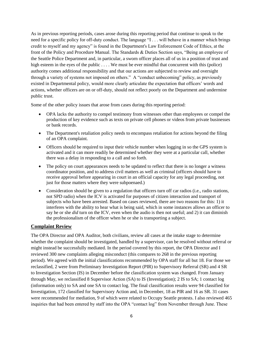As in previous reporting periods, cases arose during this reporting period that continue to speak to the need for a specific policy for off-duty conduct. The language "I . . . will behave in a manner which brings credit to myself and my agency" is found in the Department's Law Enforcement Code of Ethics, at the front of the Policy and Procedure Manual. The Standards & Duties Section says, "Being an employee of the Seattle Police Department and, in particular, a sworn officer places all of us in a position of trust and high esteem in the eyes of the public . . . . We must be ever mindful that concurrent with this (police) authority comes additional responsibility and that our actions are subjected to review and oversight through a variety of systems not imposed on others." A "conduct unbecoming" policy, as previously existed in Departmental policy, would more clearly articulate the expectation that officers' words and actions, whether officers are on or off-duty, should not reflect poorly on the Department and undermine public trust.

Some of the other policy issues that arose from cases during this reporting period:

- OPA lacks the authority to compel testimony from witnesses other than employees or compel the production of key evidence such as texts on private cell phones or videos from private businesses or bank records.
- The Department's retaliation policy needs to encompass retaliation for actions beyond the filing of an OPA complaint.
- Officers should be required to input their vehicle number when logging in so the GPS system is activated and it can more readily be determined whether they were at a particular call, whether there was a delay in responding to a call and so forth.
- The policy on court appearances needs to be updated to reflect that there is no longer a witness coordinator position, and to address civil matters as well as criminal (officers should have to receive approval before appearing in court in an official capacity for any legal proceeding, not just for those matters where they were subpoenaed.)
- Consideration should be given to a regulation that officers turn off car radios (i.e., radio stations, not SPD radio) when the ICV is activated for purposes of citizen interaction and transport of subjects who have been arrested. Based on cases reviewed, there are two reasons for this: 1) it interferes with the ability to hear what is being said, which in some instances allows an officer to say he or she *did* turn on the ICV, even when the audio is then not useful; and 2) it can diminish the professionalism of the officer when he or she is transporting a subject.

#### **Complaint Review**

The OPA Director and OPA Auditor, both civilians, review all cases at the intake stage to determine whether the complaint should be investigated, handled by a supervisor, can be resolved without referral or might instead be successfully mediated. In the period covered by this report, the OPA Director and I reviewed 300 new complaints alleging misconduct (this compares to 268 in the previous reporting period). We agreed with the initial classifications recommended by OPA staff for all but 18. For those we reclassified, 2 were from Preliminary Investigation Report (PIR) to Supervisory Referral (SR) and 4 SR to Investigation Section (IS) in December before the classification system was changed. From January through May, we reclassified 8 Supervisor Action (SA) to IS (Investigation); 2 IS to SA; 1 contact log (information only) to SA and one SA to contact log. The final classification results were 94 classified for Investigation, 172 classified for Supervisory Action and, in December, 18 as PIR and 16 as SR. 31 cases were recommended for mediation, 9 of which were related to Occupy Seattle protests. I also reviewed 465 inquiries that had been entered by staff into the OPA "contact log" from November through June. These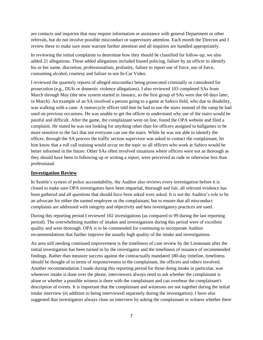are contacts and inquiries that may require information or assistance with general Department or other referrals, but do not involve possible misconduct or supervisory attention. Each month the Director and I review these to make sure none warrant further attention and all inquiries are handled appropriately.

In reviewing the initial complaints to determine how they should be classified for follow-up, we also added 21 allegations. These added allegations included biased policing, failure by an officer to identify his or her name, discretion, professionalism, profanity, failure to report use of force, use of force, consuming alcohol, courtesy and failure to use In-Car Video.

I reviewed the quarterly reports of alleged misconduct being prosecuted criminally or considered for prosecution (e.g., DUIs or domestic violence allegations). I also reviewed 103 completed SAs from March through May (the new system started in January, so the first group of SAs were due 60 days later, in March). An example of an SA involved a person going to a game at Safeco field, who due to disability, was walking with a cane. A motorcycle officer told him he had to use the stairs instead of the ramp he had used on previous occasions. He was unable to get the officer to understand why use of the stairs would be painful and difficult. After the game, the complainant went on line, found the OPA website and filed a complaint. He stated he was not looking for anything other than for officers assigned to ballgames to be more sensitive to the fact that not everyone can use the stairs. While he was not able to identify the officer, through the SA process the traffic section supervisor was asked to contact the complainant, let him know that a roll call training would occur on the topic so all officers who work at Safeco would be better informed in the future. Other SAs often involved situations where officers were not as thorough as they should have been in following up or writing a report, were perceived as rude or otherwise less than professional.

#### **Investigation Review**

In Seattle's system of police accountability, the Auditor also reviews every investigation before it is closed to make sure OPA investigators have been impartial, thorough and fair, all relevant evidence has been gathered and all questions that should have been asked were asked. It is not the Auditor's role to be an advocate for either the named employee or the complainant, but to ensure that all misconduct complaints are addressed with integrity and objectivity and best investigatory practices are used.

During this reporting period I reviewed 102 investigations (as compared to 99 during the last reporting period). The overwhelming number of intakes and investigations during this period were of excellent quality and were thorough. OPA is to be commended for continuing to incorporate Auditor recommendations that further improve the usually high quality of the intake and investigations.

An area still needing continued improvement is the timeliness of case review by the Lieutenant after the initial investigation has been turned in by the investigator and the timeliness of issuance of recommended findings. Rather than measure success against the contractually mandated 180-day timeline, timeliness should be thought of in terms of responsiveness to the complainant, the officers and others involved. Another recommendation I made during this reporting period for those doing intake in particular, was whenever intake is done over the phone, interviewers always need to ask whether the complainant is alone or whether a possible witness is there with the complainant and can overhear the complainant's description of events. It is important that the complainant and witnesses are not together during the initial intake interview (in addition to being interviewed separately during the investigation). I have also suggested that investigators always close an interview by asking the complainant or witness whether there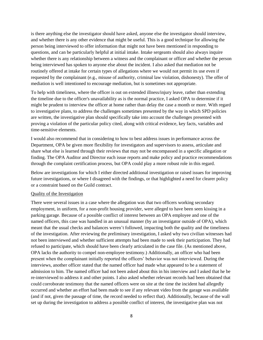is there anything else the investigator should have asked, anyone else the investigator should interview, and whether there is any other evidence that might be useful. This is a good technique for allowing the person being interviewed to offer information that might not have been mentioned in responding to questions, and can be particularly helpful at initial intake. Intake sergeants should also always inquire whether there is any relationship between a witness and the complainant or officer and whether the person being interviewed has spoken to anyone else about the incident. I also asked that mediation not be routinely offered at intake for certain types of allegations where we would not permit its use even if requested by the complainant (e.g., misuse of authority, criminal law violation, dishonesty). The offer of mediation is well intentioned to encourage mediation, but is sometimes not appropriate.

To help with timeliness, where the officer is out on extended illness/injury leave, rather than extending the timeline due to the officer's unavailability as is the normal practice, I asked OPA to determine if it might be prudent to interview the officer at home rather than delay the case a month or more. With regard to investigative plans, to address the challenges sometimes presented by the way in which SPD policies are written, the investigative plan should specifically take into account the challenges presented with proving a violation of the particular policy cited, along with critical evidence, key facts, variables and time-sensitive elements.

I would also recommend that in considering to how to best address issues in performance across the Department, OPA be given more flexibility for investigators and supervisors to assess, articulate and share what else is learned through their reviews that may not be encompassed in a specific allegation or finding. The OPA Auditor and Director each issue reports and make policy and practice recommendations through the complaint certification process, but OPA could play a more robust role in this regard.

Below are investigations for which I either directed additional investigation or raised issues for improving future investigations, or where I disagreed with the findings, or that highlighted a need for clearer policy or a constraint based on the Guild contract.

#### Quality of the Investigation

There were several issues in a case where the allegation was that two officers working secondary employment, in uniform, for a non-profit housing provider, were alleged to have been seen kissing in a parking garage. Because of a possible conflict of interest between an OPA employee and one of the named officers, this case was handled in an unusual manner (by an investigator outside of OPA), which meant that the usual checks and balances weren't followed, impacting both the quality and the timeliness of the investigation. After reviewing the preliminary investigation, I asked why two civilian witnesses had not been interviewed and whether sufficient attempts had been made to seek their participation. They had refused to participate, which should have been clearly articulated in the case file. (As mentioned above, OPA lacks the authority to compel non-employee testimony.) Additionally, an officer who had been present when the complainant initially reported the officers' behavior was not interviewed. During the interviews, another officer stated that the named officer had made what appeared to be a statement of admission to him. The named officer had not been asked about this in his interview and I asked that he be re-interviewed to address it and other points. I also asked whether relevant records had been obtained that could corroborate testimony that the named officers were on site at the time the incident had allegedly occurred and whether an effort had been made to see if any relevant video from the garage was available (and if not, given the passage of time, the record needed to reflect that). Additionally, because of the wall set up during the investigation to address a possible conflict of interest, the investigative plan was not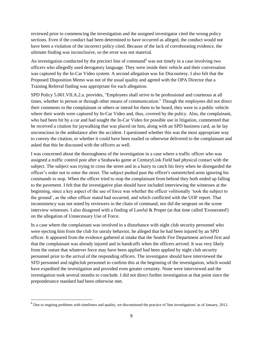reviewed prior to commencing the investigation and the assigned investigator cited the wrong policy sections. Even if the conduct had been determined to have occurred as alleged, the conduct would not have been a violation of the incorrect policy cited. Because of the lack of corroborating evidence, the ultimate finding was inconclusive, so the error was not material.

An investigation conducted by the precinct line of command<sup>6</sup> was not timely in a case involving two officers who allegedly used derogatory language. They were inside their vehicle and their conversation was captured by the In-Car Video system. A second allegation was for Discourtesy. I also felt that the Proposed Disposition Memo was not of the usual quality and agreed with the OPA Director that a Training Referral finding was appropriate for each allegation.

SPD Policy 5.001.VII.A.2.a. provides, "Employees shall strive to be professional and courteous at all times, whether in person or through other means of communication." Though the employees did not direct their comments to the complainant or others or intend for them to be heard, they were in a public vehicle where their words were captured by In-Car Video and, thus, covered by the policy. Also, the complainant, who had been hit by a car and had sought the In-Car Video for possible use in litigation, commented that he received a citation for jaywalking that was placed on him, along with an SPD business card, as he lay unconscious in the ambulance after the accident. I questioned whether this was the most appropriate way to convey the citation, or whether it could have been mailed or otherwise delivered to the complainant and asked that this be discussed with the officers as well.

I was concerned about the thoroughness of the investigation in a case where a traffic officer who was assigned a traffic control post after a Seahawks game at CenturyLink Field had physical contact with the subject. The subject was trying to cross the street and in a hurry to catch his ferry when he disregarded the officer's order not to enter the street. The subject pushed past the officer's outstretched arms ignoring his commands to stop. When the officer tried to stop the complainant from behind they both ended up falling to the pavement. I felt that the investigative plan should have included interviewing the witnesses at the beginning, since a key aspect of the use of force was whether the officer volitionally 'took the subject to the ground', as the other officer stated had occurred, and which conflicted with the UOF report. That inconsistency was not noted by reviewers in the chain of command, nor did the sergeant on the scene interview witnesses. I also disagreed with a finding of Lawful & Proper (at that time called 'Exonerated') on the allegation of Unnecessary Use of Force.

In a case where the complainant was involved in a disturbance with night club security personnel who were ejecting him from the club for unruly behavior, he alleged that he had been injured by an SPD officer. It appeared from the evidence gathered at intake that the Seattle Fire Department arrived first and that the complainant was already injured and in handcuffs when the officers arrived. It was very likely from the outset that whatever force may have been applied had been applied by night club security personnel prior to the arrival of the responding officers. The investigator should have interviewed the SFD personnel and nightclub personnel to confirm this at the beginning of the investigation, which would have expedited the investigation and provided even greater certainty. None were interviewed and the investigation took several months to conclude. I did not direct further investigation at that point since the preponderance standard had been otherwise met.

 $\overline{\phantom{a}}$ 

 $<sup>6</sup>$  Due to ongoing problems with timeliness and quality, we discontinued the practice of 'line investigations' as of January, 2012.</sup>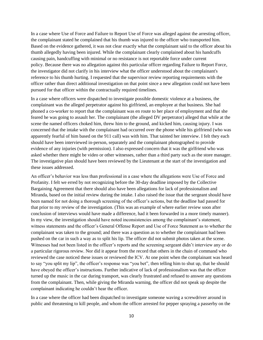In a case where Use of Force and Failure to Report Use of Force was alleged against the arresting officer, the complainant stated he complained that his thumb was injured to the officer who transported him. Based on the evidence gathered, it was not clear exactly what the complainant said to the officer about his thumb allegedly having been injured. While the complainant clearly complained about his handcuffs causing pain, handcuffing with minimal or no resistance is not reportable force under current policy. Because there was no allegation against this particular officer regarding Failure to Report Force, the investigator did not clarify in his interview what the officer understood about the complainant's reference to his thumb hurting. I requested that the supervisor review reporting requirements with the officer rather than direct additional investigation on that point since a new allegation could not have been pursued for that officer within the contractually required timelines.

In a case where officers were dispatched to investigate possible domestic violence at a business, the complainant was the alleged perpetrator against his girlfriend, an employee at that business. She had phoned a co-worker to report that the complainant was en route to her place of employment and that she feared he was going to assault her. The complainant (the alleged DV perpetrator) alleged that while at the scene the named officers choked him, threw him to the ground, and kicked him, causing injury. I was concerned that the intake with the complainant had occurred over the phone while his girlfriend (who was apparently fearful of him based on the 911 call) was with him. That tainted her interview. I felt they each should have been interviewed in-person, separately and the complainant photographed to provide evidence of any injuries (with permission). I also expressed concern that it was the girlfriend who was asked whether there might be video or other witnesses, rather than a third party such as the store manager. The investigative plan should have been reviewed by the Lieutenant at the start of the investigation and these issues addressed.

An officer's behavior was less than professional in a case where the allegations were Use of Force and Profanity. I felt we erred by not recognizing before the 30-day deadline imposed by the Collective Bargaining Agreement that there should also have been allegations for lack of professionalism and Miranda, based on the initial review during the intake. I also raised the issue that the sergeant should have been named for not doing a thorough screening of the officer's actions, but the deadline had passed for that prior to my review of the investigation. (This was an example of where earlier review soon after conclusion of interviews would have made a difference, had it been forwarded in a more timely manner). In my view, the investigation should have noted inconsistencies among the complainant's statement, witness statements and the officer's General Offense Report and Use of Force Statement as to whether the complainant was taken to the ground; and there was a question as to whether the complainant had been pushed on the car in such a way as to split his lip. The officer did not submit photos taken at the scene. Witnesses had not been listed in the officer's reports and the screening sergeant didn't interview any or do a particular rigorous review. Nor did it appear from the record that others in the chain of command who reviewed the case noticed these issues or reviewed the ICV. At one point when the complainant was heard to say "you split my lip", the officer's response was "you bet", then telling him to shut up, that he should have obeyed the officer's instructions. Further indicative of lack of professionalism was that the officer turned up the music in the car during transport, was clearly frustrated and refused to answer any questions from the complainant. Then, while giving the Miranda warning, the officer did not speak up despite the complainant indicating he couldn't hear the officer.

In a case where the officer had been dispatched to investigate someone waving a screwdriver around in public and threatening to kill people, and whom the officer arrested for pepper spraying a passerby on the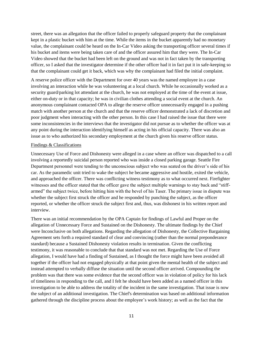street, there was an allegation that the officer failed to properly safeguard property that the complainant kept in a plastic bucket with him at the time. While the items in the bucket apparently had no monetary value, the complainant could be heard on the In-Car Video asking the transporting officer several times if his bucket and items were being taken care of and the officer assured him that they were. The In-Car Video showed that the bucket had been left on the ground and was not in fact taken by the transporting officer, so I asked that the investigator determine if the other officer had it in fact put it in safe-keeping so that the complainant could get it back, which was why the complainant had filed the initial complaint.

A reserve police officer with the Department for over 40 years was the named employee in a case involving an interaction while he was volunteering at a local church. While he occasionally worked as a security guard/parking lot attendant at the church, he was not employed at the time of the event at issue, either on-duty or in that capacity; he was in civilian clothes attending a social event at the church. An anonymous complainant contacted OPA to allege the reserve officer unnecessarily engaged in a pushing match with another person at the church and that the reserve officer demonstrated a lack of discretion and poor judgment when interacting with the other person. In this case I had raised the issue that there were some inconsistencies in the interviews that the investigator did not pursue as to whether the officer was at any point during the interaction identifying himself as acting in his official capacity. There was also an issue as to who authorized his secondary employment at the church given his reserve officer status.

#### Findings & Classifications

Unnecessary Use of Force and Dishonesty were alleged in a case where an officer was dispatched to a call involving a reportedly suicidal person reported who was inside a closed parking garage. Seattle Fire Department personnel were tending to the unconscious subject who was seated on the driver's side of his car. As the paramedic unit tried to wake the subject he became aggressive and hostile, exited the vehicle, and approached the officer. There was conflicting witness testimony as to what occurred next. Firefighter witnesses and the officer stated that the officer gave the subject multiple warnings to stay back and "stiffarmed" the subject twice, before hitting him with the bevel of his Taser. The primary issue in dispute was whether the subject first struck the officer and he responded by punching the subject, as the officer reported, or whether the officer struck the subject first and, thus, was dishonest in his written report and interview.

There was an initial recommendation by the OPA Captain for findings of Lawful and Proper on the allegation of Unnecessary Force and Sustained on the Dishonesty. The ultimate findings by the Chief were Inconclusive on both allegations. Regarding the allegation of Dishonesty, the Collective Bargaining Agreement sets forth a required standard of clear and convincing (rather than the normal preponderance standard) because a Sustained Dishonesty violation results in termination. Given the conflicting testimony, it was reasonable to conclude that that standard was not met. Regarding the Use of Force allegation, I would have had a finding of Sustained, as I thought the force might have been avoided all together if the officer had not engaged physically at that point given the mental health of the subject and instead attempted to verbally diffuse the situation until the second officer arrived. Compounding the problem was that there was some evidence that the second officer was in violation of policy for his lack of timeliness in responding to the call, and I felt he should have been added as a named officer in this investigation to be able to address the totality of the incident in the same investigation. That issue is now the subject of an additional investigation. The Chief's determination was based on additional information gathered through the discipline process about the employee's work history; as well as the fact that the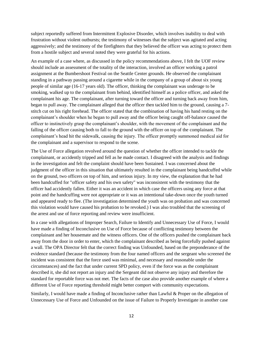subject reportedly suffered from Intermittent Explosive Disorder, which involves inability to deal with frustration without violent outbursts; the testimony of witnesses that the subject was agitated and acting aggressively; and the testimony of the firefighters that they believed the officer was acting to protect them from a hostile subject and several noted they were grateful for his actions.

An example of a case where, as discussed in the policy recommendations above, I felt the UOF review should include an assessment of the totality of the interaction, involved an officer working a patrol assignment at the Bumbershoot Festival on the Seattle Center grounds. He observed the complainant standing in a pathway passing around a cigarette while in the company of a group of about six young people of similar age (16-17 years old). The officer, thinking the complainant was underage to be smoking, walked up to the complainant from behind, identified himself as a police officer, and asked the complainant his age. The complainant, after turning toward the officer and turning back away from him, began to pull away. The complainant alleged that the officer then tackled him to the ground, causing a 7 stitch cut on his right forehead. The officer stated that the combination of having his hand resting on the complainant's shoulder when he began to pull away and the officer being caught off-balance caused the officer to instinctively grasp the complainant's shoulder, with the movement of the complainant and the falling of the officer causing both to fall to the ground with the officer on top of the complainant. The complainant's head hit the sidewalk, causing the injury. The officer promptly summoned medical aid for the complainant and a supervisor to respond to the scene.

The Use of Force allegation revolved around the question of whether the officer intended to tackle the complainant, or accidently tripped and fell as he made contact. I disagreed with the analysis and findings in the investigation and felt the complaint should have been Sustained. I was concerned about the judgment of the officer in this situation that ultimately resulted in the complainant being handcuffed while on the ground, two officers on top of him, and serious injury. In my view, the explanation that he had been handcuffed for "officer safety and his own safety" was inconsistent with the testimony that the officer had accidently fallen. Either it was an accident in which case the officers using any force at that point and the handcuffing were not appropriate or it was an intentional take-down once the youth turned and appeared ready to flee. (The investigation determined the youth was on probation and was concerned this violation would have caused his probation to be revoked.) I was also troubled that the screening of the arrest and use of force reporting and review were insufficient.

In a case with allegations of Improper Search, Failure to Identify and Unnecessary Use of Force, I would have made a finding of Inconclusive on Use of Force because of conflicting testimony between the complainant and her housemate and the witness officers. One of the officers pushed the complainant back away from the door in order to enter, which the complainant described as being forcefully pushed against a wall. The OPA Director felt that the correct finding was Unfounded, based on the preponderance of the evidence standard (because the testimony from the four named officers and the sergeant who screened the incident was consistent that the force used was minimal, and necessary and reasonable under the circumstances) and the fact that under current SPD policy, even if the force was as the complainant described it, she did not report an injury and the Sergeant did not observe any injury and therefore the standard for reportable force was not met. The facts of the case also provide another example of where a different Use of Force reporting threshold might better comport with community expectations.

Similarly, I would have made a finding of Inconclusive rather than Lawful & Proper on the allegation of Unnecessary Use of Force and Unfounded on the issue of Failure to Properly Investigate in another case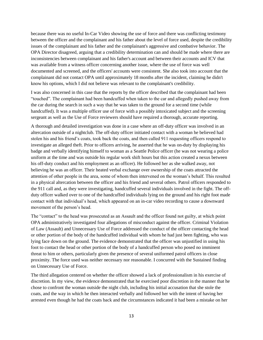because there was no useful In-Car Video showing the use of force and there was conflicting testimony between the officer and the complainant and his father about the level of force used, despite the credibility issues of the complainant and his father and the complainant's aggressive and combative behavior. The OPA Director disagreed, arguing that a credibility determination can and should be made where there are inconsistencies between complainant and his father's account and between their accounts and ICV that was available from a witness officer concerning another issue, where the use of force was well documented and screened, and the officers' accounts were consistent. She also took into account that the complainant did not contact OPA until approximately 18 months after the incident, claiming he didn't know his options, which I did not believe was relevant to the complainant's credibility.

I was also concerned in this case that the reports by the officer described that the complainant had been "touched". The complainant had been handcuffed when taken to the car and allegedly pushed away from the car during the search in such a way that he was taken to the ground for a second time (while handcuffed). It was a multiple officer use of force with a possibly intoxicated subject and the screening sergeant as well as the Use of Force reviewers should have required a thorough, accurate reporting.

A thorough and detailed investigation was done in a case where an off-duty officer was involved in an altercation outside of a nightclub. The off-duty officer initiated contact with a woman he believed had stolen his and his friend's coats, took back the coats, and then called 911 requesting officers respond to investigate an alleged theft. Prior to officers arriving, he asserted that he was on-duty by displaying his badge and verbally identifying himself to woman as a Seattle Police officer (he was not wearing a police uniform at the time and was outside his regular work shift hours but this action created a nexus between his off-duty conduct and his employment as an officer). He followed her as she walked away, not believing he was an officer. Their heated verbal exchange over ownership of the coats attracted the attention of other people in the area, some of whom then intervened on the woman's behalf. This resulted in a physical altercation between the officer and his friend and several others. Patrol officers responded to the 911 call and, as they were investigating, handcuffed several individuals involved in the fight. The offduty officer walked over to one of the handcuffed individuals lying on the ground and his right foot made contact with that individual's head, which appeared on an in-car video recording to cause a downward movement of the person's head.

The "contact" to the head was prosecuted as an Assault and the officer found not guilty, at which point OPA administratively investigated four allegations of misconduct against the officer. Criminal Violation of Law (Assault) and Unnecessary Use of Force addressed the conduct of the officer contacting the head or other portion of the body of the handcuffed individual with whom he had just been fighting, who was lying face down on the ground. The evidence demonstrated that the officer was unjustified in using his foot to contact the head or other portion of the body of a handcuffed person who posed no imminent threat to him or others, particularly given the presence of several uniformed patrol officers in close proximity. The force used was neither necessary nor reasonable. I concurred with the Sustained finding on Unnecessary Use of Force.

The third allegation centered on whether the officer showed a lack of professionalism in his exercise of discretion. In my view, the evidence demonstrated that he exercised poor discretion in the manner that he chose to confront the woman outside the night club, including his initial accusation that she stole the coats, and the way in which he then interacted verbally and followed her with the intent of having her arrested even though he had the coats back and the circumstances indicated it had been a mistake on her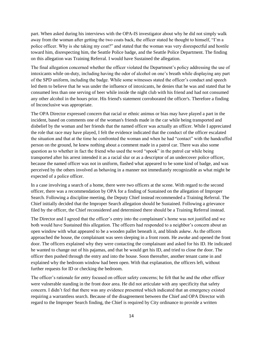part. When asked during his interviews with the OPA-IS investigator about why he did not simply walk away from the woman after getting the two coats back, the officer stated he thought to himself, "I'm a police officer. Why is she taking my coat?" and stated that the woman was very disrespectful and hostile toward him, disrespecting him, the Seattle Police badge, and the Seattle Police Department. The finding on this allegation was Training Referral. I would have Sustained the allegation.

The final allegation concerned whether the officer violated the Department's policy addressing the use of intoxicants while on-duty, including having the odor of alcohol on one's breath while displaying any part of the SPD uniform, including the badge. While some witnesses stated the officer's conduct and speech led them to believe that he was under the influence of intoxicants, he denies that he was and stated that he consumed less than one serving of beer while inside the night club with his friend and had not consumed any other alcohol in the hours prior. His friend's statement corroborated the officer's. Therefore a finding of Inconclusive was appropriate.

The OPA Director expressed concern that racial or ethnic animus or bias may have played a part in the incident, based on comments one of the woman's friends made in the car while being transported and disbelief by the woman and her friends that the named officer was actually an officer. While I appreciated the role that race may have played, I felt the evidence indicated that the conduct of the officer escalated the situation and that at the time he confronted the woman and when he had "contact" with the handcuffed person on the ground, he knew nothing about a comment made in a patrol car. There was also some question as to whether in fact the friend who used the word "spook" in the patrol car while being transported after his arrest intended it as a racial slur or as a descriptor of an undercover police officer, because the named officer was not in uniform, flashed what appeared to be some kind of badge, and was perceived by the others involved as behaving in a manner not immediately recognizable as what might be expected of a police officer.

In a case involving a search of a home, there were two officers at the scene. With regard to the second officer, there was a recommendation by OPA for a finding of Sustained on the allegation of Improper Search. Following a discipline meeting, the Deputy Chief instead recommended a Training Referral. The Chief initially decided that the Improper Search allegation should be Sustained. Following a grievance filed by the officer, the Chief reconsidered and determined there should be a Training Referral instead.

The Director and I agreed that the officer's entry into the complainant's home was not justified and we both would have Sustained this allegation. The officers had responded to a neighbor's concern about an open window with what appeared to be a wooden pallet beneath it, and blinds askew. As the officers approached the house, the complainant was seen sleeping in a front room. He awoke and opened the front door. The officers explained why they were contacting the complainant and asked for his ID. He indicated he wanted to change out of his pajamas, and that he would get his ID, and tried to close the door. The officer then pushed through the entry and into the house. Soon thereafter, another tenant came in and explained why the bedroom window had been open. With that explanation, the officers left, without further requests for ID or checking the bedroom.

The officer's rationale for entry focused on officer safety concerns; he felt that he and the other officer were vulnerable standing in the front door area. He did not articulate with any specificity that safety concern. I didn't feel that there was any evidence presented which indicated that an emergency existed requiring a warrantless search. Because of the disagreement between the Chief and OPA Director with regard to the Improper Search finding, the Chief is required by City ordinance to provide a written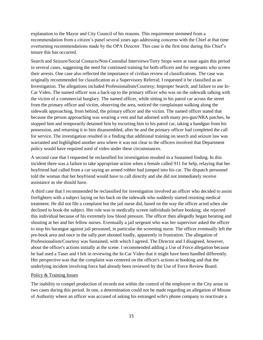explanation to the Mayor and City Council of his reasons. This requirement stemmed from a recommendation from a citizen's panel several years ago addressing concerns with the Chief at that time overturning recommendations made by the OPA Director. This case is the first time during this Chief's tenure this has occurred.

Search and Seizure/Social Contacts/Non-Custodial Interviews/Terry Stops were at issue again this period in several cases, suggesting the need for continued training for both officers and for sergeants who screen their arrests. One case also reflected the importance of civilian review of classifications. The case was originally recommended for classification as a Supervisory Referral; I requested it be classified as an Investigation. The allegations included Professionalism/Courtesy; Improper Search; and failure to use In-Car Video. The named officer was a back-up to the primary officer who was on the sidewalk talking with the victim of a commercial burglary. The named officer, while sitting in his patrol car across the street from the primary officer and victim, observing the area, noticed the complainant walking along the sidewalk approaching, from behind, the primary officer and the victim. The named officer stated that because the person approaching was wearing a vest and hat adorned with many pro-gun/NRA patches, he stopped him and temporarily detained him by escorting him to his patrol car, taking a handgun from his possession, and returning it to him disassembled, after he and the primary officer had completed the call for service. The investigation resulted in a finding that additional training on search and seizure law was warranted and highlighted another area where it was not clear to the officers involved that Department policy would have required used of video under these circumstances.

A second case that I requested be reclassified for investigation resulted in a Sustained finding. In this incident there was a failure to take appropriate action when a female called 911 for help, relaying that her boyfriend had called from a car saying an armed robber had jumped into his car. The dispatch personnel told the woman that her boyfriend would have to call directly and she did not immediately receive assistance as she should have.

A third case that I recommended be reclassified for investigation involved an officer who decided to assist firefighters with a subject laying on his back on the sidewalk who suddenly started resisting medical treatment. He did not file a complaint but the jail nurse did, based on the way the officer acted when she declined to book the subject. Her role was to medically screen individuals before booking; she rejected this individual because of his extremely low blood pressure. The officer then allegedly began berating and shouting at her and her fellow nurses. Eventually a jail sergeant who was her supervisor asked the officer to stop his harangue against jail personnel, in particular the screening nurse. The officer eventually left the pre-book area and once in the sally port shouted loudly, apparently in frustration. The allegation of Professionalism/Courtesy was Sustained, with which I agreed. The Director and I disagreed, however, about the officer's actions initially at the scene. I recommended adding a Use of Force allegation because he had used a Taser and I felt in reviewing the In-Car Video that it might have been handled differently. Her perspective was that the complaint was centered on the officer's actions at booking and that the underlying incident involving force had already been reviewed by the Use of Force Review Board.

#### Policy & Training Issues

The inability to compel production of records not within the control of the employee or the City arose in two cases during this period. In one, a determination could not be made regarding an allegation of Misuse of Authority where an officer was accused of asking his estranged wife's phone company to reactivate a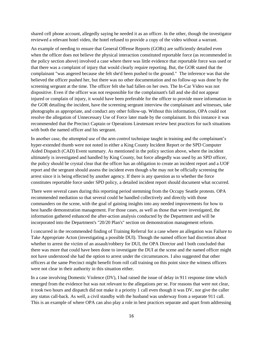shared cell phone account, allegedly saying he needed it as an officer. In the other, though the investigator reviewed a relevant hotel video, the hotel refused to provide a copy of the video without a warrant.

An example of needing to ensure that General Offense Reports (GORs) are sufficiently detailed even when the officer does not believe the physical interaction constituted reportable force (as recommended in the policy section above) involved a case where there was little evidence that reportable force was used or that there was a complaint of injury that would clearly require reporting. But, the GOR stated that the complainant "was angered because she felt she'd been pushed to the ground." The inference was that she believed the officer pushed her, but there was no other documentation and no follow-up was done by the screening sergeant at the time. The officer felt she had fallen on her own. The In-Car Video was not dispositive. Even if the officer was not responsible for the complainant's fall and she did not appear injured or complain of injury, it would have been preferable for the officer to provide more information in the GOR detailing the incident, have the screening sergeant interview the complainant and witnesses, take photographs as appropriate, and conduct any other follow-up. Without this information, OPA could not resolve the allegation of Unnecessary Use of Force later made by the complainant. In this instance it was recommended that the Precinct Captain or Operations Lieutenant review best practices for such situations with both the named officer and his sergeant.

In another case, the attempted use of the arm control technique taught in training and the complainant's hyper-extended thumb were not noted in either a King County Incident Report or the SPD Computer Aided Dispatch (CAD) Event summary. As mentioned in the policy section above, where the incident ultimately is investigated and handled by King County, but force allegedly was used by an SPD officer, the policy should be crystal clear that the officer has an obligation to create an incident report and a UOF report and the sergeant should assess the incident even though s/he may not be officially screening the arrest since it is being effected by another agency. If there is any question as to whether the force constitutes reportable force under SPD policy, a detailed incident report should document what occurred.

There were several cases during this reporting period stemming from the Occupy Seattle protests. OPA recommended mediation so that several could be handled collectively and directly with those commanders on the scene, with the goal of gaining insights into any needed improvements for how to best handle demonstration management. For those cases, as well as those that were investigated, the information gathered enhanced the after-action analysis conducted by the Department and will be incorporated into the Department's "20/20 Plan's" section on demonstration management reform.

I concurred in the recommended finding of Training Referral for a case where an allegation was Failure to Take Appropriate Acton (investigating a possible DUI). Though the named officer had discretion about whether to arrest the victim of an assault/robbery for DUI, the OPA Director and I both concluded that there was more that could have been done to investigate the DUI at the scene and the named officer might not have understood she had the option to arrest under the circumstances. I also suggested that other officers at the same Precinct might benefit from roll call training on this point since the witness officers were not clear in their authority in this situation either.

In a case involving Domestic Violence (DV), I had raised the issue of delay in 911 response time which emerged from the evidence but was not relevant to the allegations per se. For reasons that were not clear, it took two hours and dispatch did not make it a priority 1 call even though it was DV, nor give the caller any status call-back. As well, a civil standby with the husband was underway from a separate 911 call. This is an example of where OPA can also play a role in best practices separate and apart from addressing